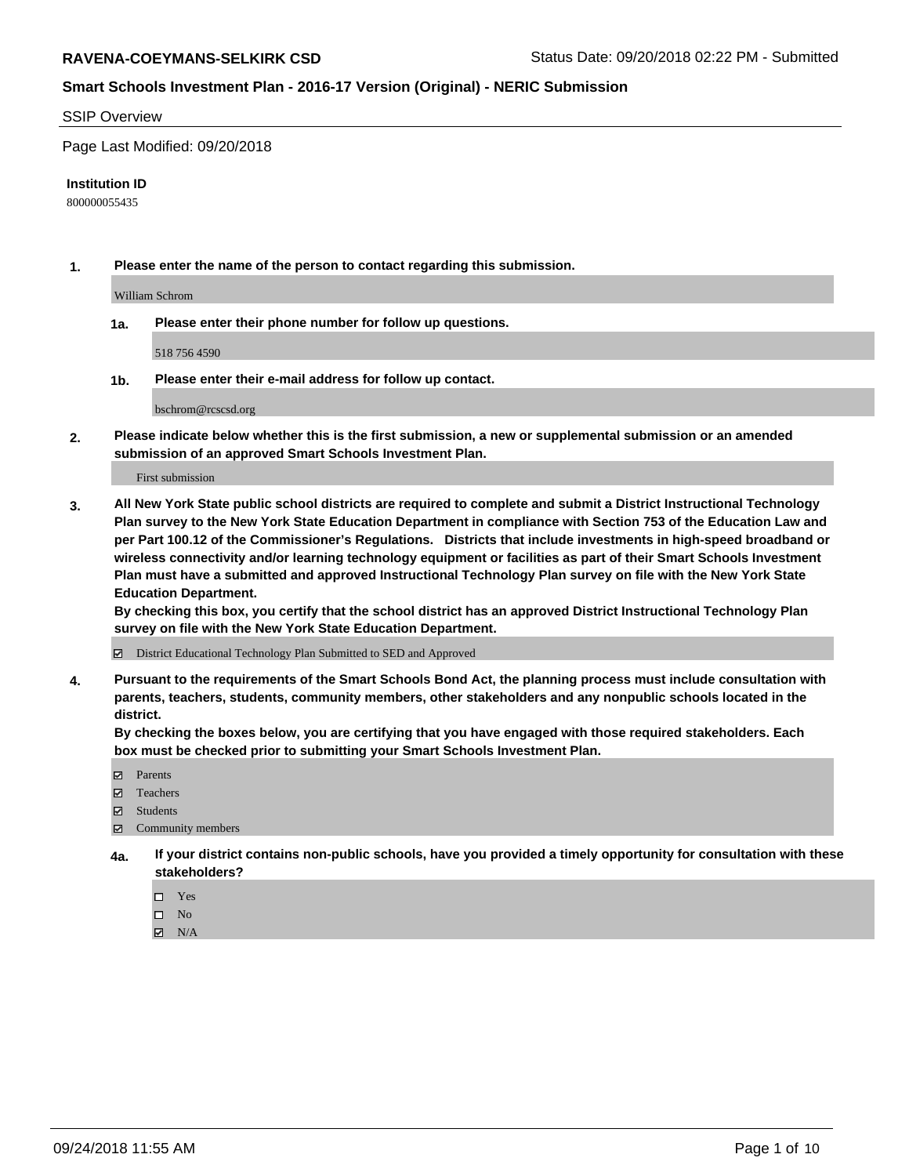#### SSIP Overview

Page Last Modified: 09/20/2018

#### **Institution ID**

800000055435

**1. Please enter the name of the person to contact regarding this submission.**

William Schrom

**1a. Please enter their phone number for follow up questions.**

518 756 4590

**1b. Please enter their e-mail address for follow up contact.**

bschrom@rcscsd.org

**2. Please indicate below whether this is the first submission, a new or supplemental submission or an amended submission of an approved Smart Schools Investment Plan.**

First submission

**3. All New York State public school districts are required to complete and submit a District Instructional Technology Plan survey to the New York State Education Department in compliance with Section 753 of the Education Law and per Part 100.12 of the Commissioner's Regulations. Districts that include investments in high-speed broadband or wireless connectivity and/or learning technology equipment or facilities as part of their Smart Schools Investment Plan must have a submitted and approved Instructional Technology Plan survey on file with the New York State Education Department.** 

**By checking this box, you certify that the school district has an approved District Instructional Technology Plan survey on file with the New York State Education Department.**

District Educational Technology Plan Submitted to SED and Approved

**4. Pursuant to the requirements of the Smart Schools Bond Act, the planning process must include consultation with parents, teachers, students, community members, other stakeholders and any nonpublic schools located in the district.** 

**By checking the boxes below, you are certifying that you have engaged with those required stakeholders. Each box must be checked prior to submitting your Smart Schools Investment Plan.**

- **□** Parents
- Teachers
- Students
- $\boxtimes$  Community members
- **4a. If your district contains non-public schools, have you provided a timely opportunity for consultation with these stakeholders?**
	- $\Box$  Yes
	- $\qquad \qquad$  No
	- $\blacksquare$  N/A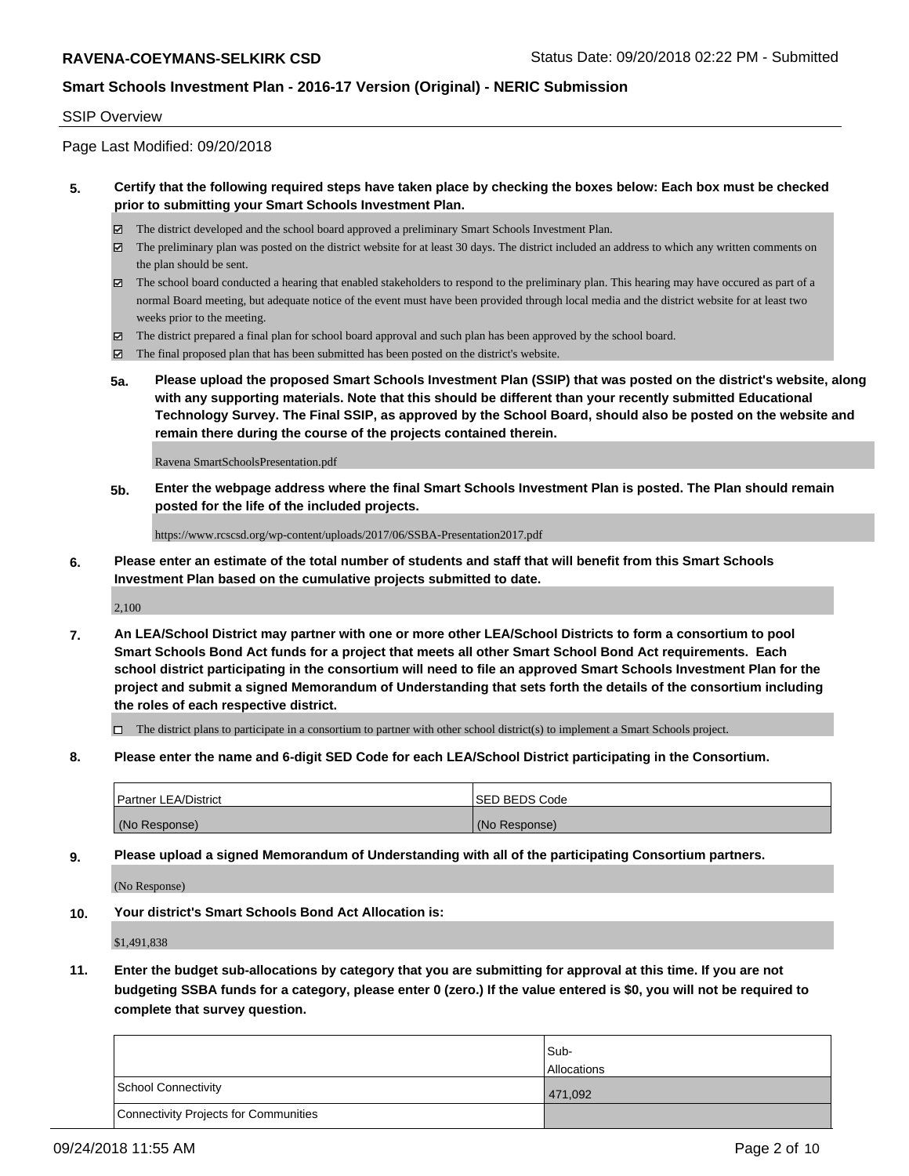#### SSIP Overview

Page Last Modified: 09/20/2018

#### **5. Certify that the following required steps have taken place by checking the boxes below: Each box must be checked prior to submitting your Smart Schools Investment Plan.**

- The district developed and the school board approved a preliminary Smart Schools Investment Plan.
- $\boxtimes$  The preliminary plan was posted on the district website for at least 30 days. The district included an address to which any written comments on the plan should be sent.
- $\boxtimes$  The school board conducted a hearing that enabled stakeholders to respond to the preliminary plan. This hearing may have occured as part of a normal Board meeting, but adequate notice of the event must have been provided through local media and the district website for at least two weeks prior to the meeting.
- The district prepared a final plan for school board approval and such plan has been approved by the school board.
- $\boxtimes$  The final proposed plan that has been submitted has been posted on the district's website.
- **5a. Please upload the proposed Smart Schools Investment Plan (SSIP) that was posted on the district's website, along with any supporting materials. Note that this should be different than your recently submitted Educational Technology Survey. The Final SSIP, as approved by the School Board, should also be posted on the website and remain there during the course of the projects contained therein.**

Ravena SmartSchoolsPresentation.pdf

**5b. Enter the webpage address where the final Smart Schools Investment Plan is posted. The Plan should remain posted for the life of the included projects.**

https://www.rcscsd.org/wp-content/uploads/2017/06/SSBA-Presentation2017.pdf

**6. Please enter an estimate of the total number of students and staff that will benefit from this Smart Schools Investment Plan based on the cumulative projects submitted to date.**

2,100

**7. An LEA/School District may partner with one or more other LEA/School Districts to form a consortium to pool Smart Schools Bond Act funds for a project that meets all other Smart School Bond Act requirements. Each school district participating in the consortium will need to file an approved Smart Schools Investment Plan for the project and submit a signed Memorandum of Understanding that sets forth the details of the consortium including the roles of each respective district.**

 $\Box$  The district plans to participate in a consortium to partner with other school district(s) to implement a Smart Schools project.

**8. Please enter the name and 6-digit SED Code for each LEA/School District participating in the Consortium.**

| <b>Partner LEA/District</b> | <b>ISED BEDS Code</b> |
|-----------------------------|-----------------------|
| (No Response)               | (No Response)         |

**9. Please upload a signed Memorandum of Understanding with all of the participating Consortium partners.**

(No Response)

**10. Your district's Smart Schools Bond Act Allocation is:**

\$1,491,838

**11. Enter the budget sub-allocations by category that you are submitting for approval at this time. If you are not budgeting SSBA funds for a category, please enter 0 (zero.) If the value entered is \$0, you will not be required to complete that survey question.**

|                                              | Sub-               |
|----------------------------------------------|--------------------|
|                                              | <b>Allocations</b> |
| <b>School Connectivity</b>                   | 471,092            |
| <b>Connectivity Projects for Communities</b> |                    |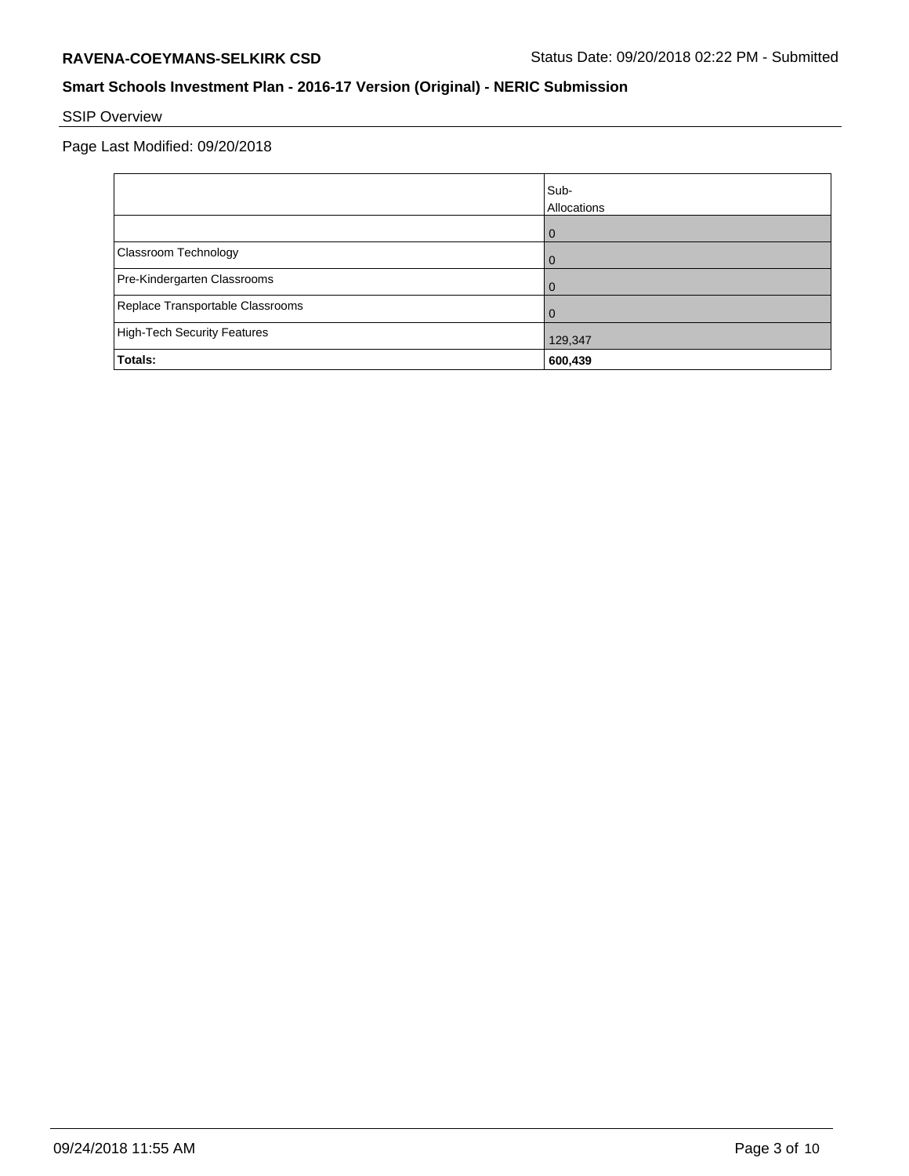# SSIP Overview

Page Last Modified: 09/20/2018

|                                    | Sub-<br>Allocations |
|------------------------------------|---------------------|
|                                    | $\mathbf{I}$        |
| Classroom Technology               |                     |
| Pre-Kindergarten Classrooms        |                     |
| Replace Transportable Classrooms   |                     |
| <b>High-Tech Security Features</b> | 129,347             |
| Totals:                            | 600,439             |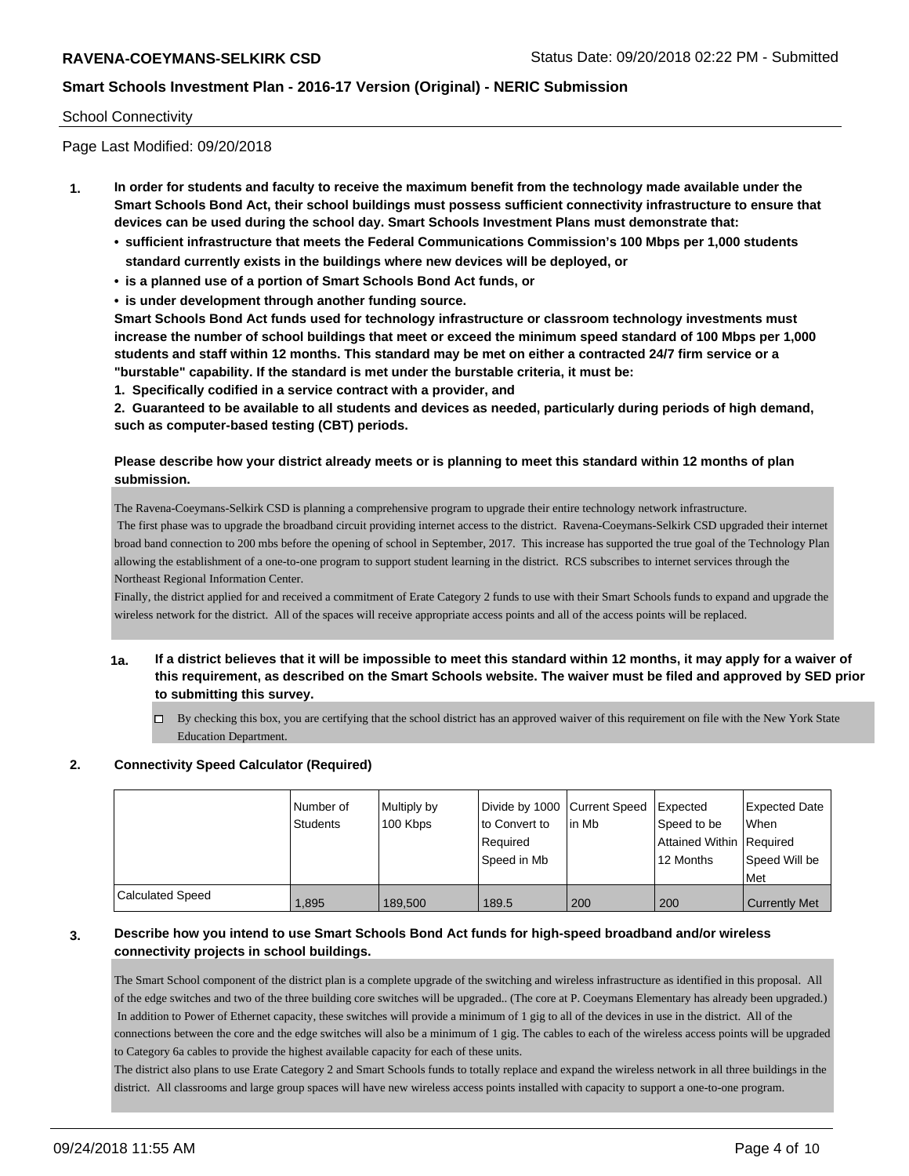#### School Connectivity

Page Last Modified: 09/20/2018

- **1. In order for students and faculty to receive the maximum benefit from the technology made available under the Smart Schools Bond Act, their school buildings must possess sufficient connectivity infrastructure to ensure that devices can be used during the school day. Smart Schools Investment Plans must demonstrate that:**
	- **• sufficient infrastructure that meets the Federal Communications Commission's 100 Mbps per 1,000 students standard currently exists in the buildings where new devices will be deployed, or**
	- **• is a planned use of a portion of Smart Schools Bond Act funds, or**
	- **• is under development through another funding source.**

**Smart Schools Bond Act funds used for technology infrastructure or classroom technology investments must increase the number of school buildings that meet or exceed the minimum speed standard of 100 Mbps per 1,000 students and staff within 12 months. This standard may be met on either a contracted 24/7 firm service or a "burstable" capability. If the standard is met under the burstable criteria, it must be:**

**1. Specifically codified in a service contract with a provider, and**

**2. Guaranteed to be available to all students and devices as needed, particularly during periods of high demand, such as computer-based testing (CBT) periods.**

#### **Please describe how your district already meets or is planning to meet this standard within 12 months of plan submission.**

The Ravena-Coeymans-Selkirk CSD is planning a comprehensive program to upgrade their entire technology network infrastructure. The first phase was to upgrade the broadband circuit providing internet access to the district. Ravena-Coeymans-Selkirk CSD upgraded their internet broad band connection to 200 mbs before the opening of school in September, 2017. This increase has supported the true goal of the Technology Plan allowing the establishment of a one-to-one program to support student learning in the district. RCS subscribes to internet services through the Northeast Regional Information Center.

Finally, the district applied for and received a commitment of Erate Category 2 funds to use with their Smart Schools funds to expand and upgrade the wireless network for the district. All of the spaces will receive appropriate access points and all of the access points will be replaced.

- **1a. If a district believes that it will be impossible to meet this standard within 12 months, it may apply for a waiver of this requirement, as described on the Smart Schools website. The waiver must be filed and approved by SED prior to submitting this survey.**
	- By checking this box, you are certifying that the school district has an approved waiver of this requirement on file with the New York State Education Department.

#### **2. Connectivity Speed Calculator (Required)**

|                         | l Number of<br><b>Students</b> | Multiply by<br>100 Kbps | to Convert to<br>Reauired<br>Speed in Mb | Divide by 1000 Current Speed Expected<br>l in Mb | Speed to be<br>Attained Within   Required<br>12 Months | Expected Date<br>When<br>Speed Will be<br>Met |
|-------------------------|--------------------------------|-------------------------|------------------------------------------|--------------------------------------------------|--------------------------------------------------------|-----------------------------------------------|
| <b>Calculated Speed</b> | 1,895                          | 189,500                 | 189.5                                    | 200                                              | 200                                                    | <b>Currently Met</b>                          |

#### **3. Describe how you intend to use Smart Schools Bond Act funds for high-speed broadband and/or wireless connectivity projects in school buildings.**

The Smart School component of the district plan is a complete upgrade of the switching and wireless infrastructure as identified in this proposal. All of the edge switches and two of the three building core switches will be upgraded.. (The core at P. Coeymans Elementary has already been upgraded.) In addition to Power of Ethernet capacity, these switches will provide a minimum of 1 gig to all of the devices in use in the district. All of the connections between the core and the edge switches will also be a minimum of 1 gig. The cables to each of the wireless access points will be upgraded to Category 6a cables to provide the highest available capacity for each of these units.

The district also plans to use Erate Category 2 and Smart Schools funds to totally replace and expand the wireless network in all three buildings in the district. All classrooms and large group spaces will have new wireless access points installed with capacity to support a one-to-one program.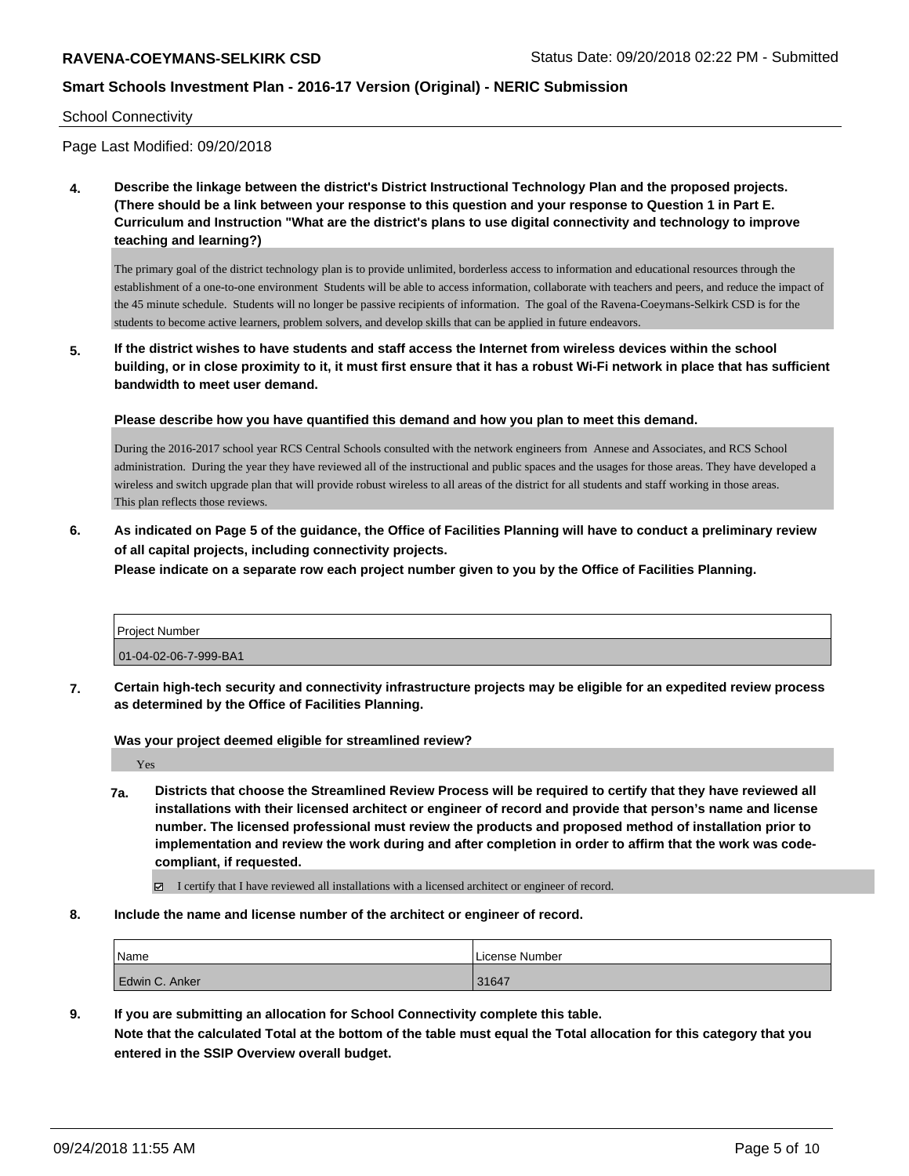School Connectivity

Page Last Modified: 09/20/2018

**4. Describe the linkage between the district's District Instructional Technology Plan and the proposed projects. (There should be a link between your response to this question and your response to Question 1 in Part E. Curriculum and Instruction "What are the district's plans to use digital connectivity and technology to improve teaching and learning?)**

The primary goal of the district technology plan is to provide unlimited, borderless access to information and educational resources through the establishment of a one-to-one environment Students will be able to access information, collaborate with teachers and peers, and reduce the impact of the 45 minute schedule. Students will no longer be passive recipients of information. The goal of the Ravena-Coeymans-Selkirk CSD is for the students to become active learners, problem solvers, and develop skills that can be applied in future endeavors.

**5. If the district wishes to have students and staff access the Internet from wireless devices within the school building, or in close proximity to it, it must first ensure that it has a robust Wi-Fi network in place that has sufficient bandwidth to meet user demand.**

**Please describe how you have quantified this demand and how you plan to meet this demand.**

During the 2016-2017 school year RCS Central Schools consulted with the network engineers from Annese and Associates, and RCS School administration. During the year they have reviewed all of the instructional and public spaces and the usages for those areas. They have developed a wireless and switch upgrade plan that will provide robust wireless to all areas of the district for all students and staff working in those areas. This plan reflects those reviews.

**6. As indicated on Page 5 of the guidance, the Office of Facilities Planning will have to conduct a preliminary review of all capital projects, including connectivity projects.**

**Please indicate on a separate row each project number given to you by the Office of Facilities Planning.**

| Project Number        |  |
|-----------------------|--|
|                       |  |
| 01-04-02-06-7-999-BA1 |  |
|                       |  |

**7. Certain high-tech security and connectivity infrastructure projects may be eligible for an expedited review process as determined by the Office of Facilities Planning.**

**Was your project deemed eligible for streamlined review?**

Yes

- **7a. Districts that choose the Streamlined Review Process will be required to certify that they have reviewed all installations with their licensed architect or engineer of record and provide that person's name and license number. The licensed professional must review the products and proposed method of installation prior to implementation and review the work during and after completion in order to affirm that the work was codecompliant, if requested.**
	- I certify that I have reviewed all installations with a licensed architect or engineer of record.
- **8. Include the name and license number of the architect or engineer of record.**

| Name           | License Number |
|----------------|----------------|
| Edwin C. Anker | 31647          |

**9. If you are submitting an allocation for School Connectivity complete this table. Note that the calculated Total at the bottom of the table must equal the Total allocation for this category that you entered in the SSIP Overview overall budget.**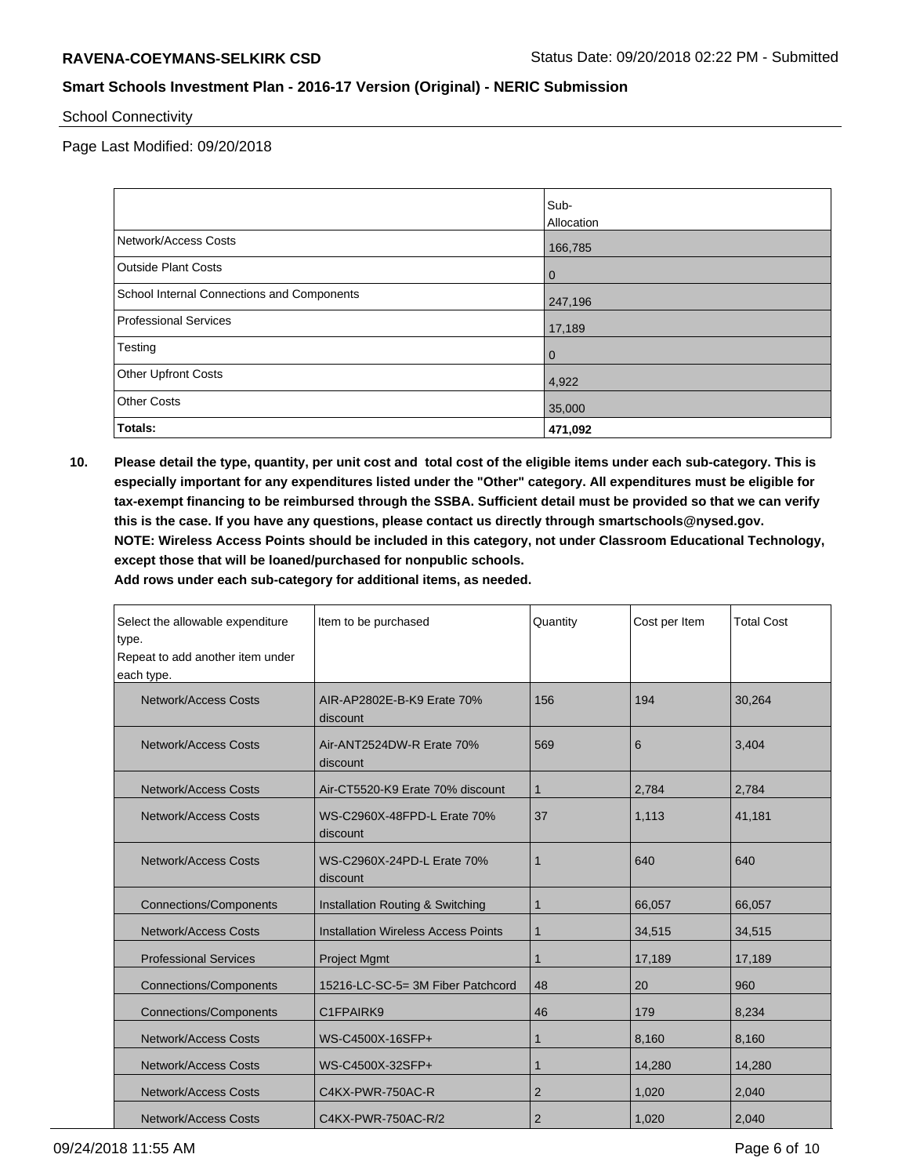School Connectivity

Page Last Modified: 09/20/2018

|                                            | Sub-       |
|--------------------------------------------|------------|
|                                            | Allocation |
| Network/Access Costs                       | 166,785    |
| <b>Outside Plant Costs</b>                 | l 0        |
| School Internal Connections and Components | 247,196    |
| <b>Professional Services</b>               | 17,189     |
| Testing                                    | l 0        |
| <b>Other Upfront Costs</b>                 | 4,922      |
| <b>Other Costs</b>                         | 35,000     |
| Totals:                                    | 471,092    |

**10. Please detail the type, quantity, per unit cost and total cost of the eligible items under each sub-category. This is especially important for any expenditures listed under the "Other" category. All expenditures must be eligible for tax-exempt financing to be reimbursed through the SSBA. Sufficient detail must be provided so that we can verify this is the case. If you have any questions, please contact us directly through smartschools@nysed.gov. NOTE: Wireless Access Points should be included in this category, not under Classroom Educational Technology, except those that will be loaned/purchased for nonpublic schools.**

**Add rows under each sub-category for additional items, as needed.**

| Select the allowable expenditure<br>type.<br>Repeat to add another item under<br>each type. | Item to be purchased                       | Quantity       | Cost per Item | <b>Total Cost</b> |
|---------------------------------------------------------------------------------------------|--------------------------------------------|----------------|---------------|-------------------|
| <b>Network/Access Costs</b>                                                                 | AIR-AP2802E-B-K9 Erate 70%<br>discount     | 156            | 194           | 30.264            |
| <b>Network/Access Costs</b>                                                                 | Air-ANT2524DW-R Erate 70%<br>discount      | 569            | 6             | 3,404             |
| Network/Access Costs                                                                        | Air-CT5520-K9 Erate 70% discount           | 1              | 2,784         | 2,784             |
| Network/Access Costs                                                                        | WS-C2960X-48FPD-L Erate 70%<br>discount    | 37             | 1,113         | 41,181            |
| Network/Access Costs                                                                        | WS-C2960X-24PD-L Erate 70%<br>discount     | 1              | 640           | 640               |
| <b>Connections/Components</b>                                                               | Installation Routing & Switching           | 1              | 66,057        | 66,057            |
| <b>Network/Access Costs</b>                                                                 | <b>Installation Wireless Access Points</b> | 1              | 34,515        | 34,515            |
| <b>Professional Services</b>                                                                | <b>Project Mgmt</b>                        | 1              | 17,189        | 17,189            |
| <b>Connections/Components</b>                                                               | 15216-LC-SC-5= 3M Fiber Patchcord          | 48             | 20            | 960               |
| <b>Connections/Components</b>                                                               | C1FPAIRK9                                  | 46             | 179           | 8,234             |
| <b>Network/Access Costs</b>                                                                 | WS-C4500X-16SFP+                           | 1              | 8,160         | 8,160             |
| <b>Network/Access Costs</b>                                                                 | WS-C4500X-32SFP+                           | 1              | 14,280        | 14,280            |
| <b>Network/Access Costs</b>                                                                 | C4KX-PWR-750AC-R                           | $\overline{2}$ | 1,020         | 2,040             |
| <b>Network/Access Costs</b>                                                                 | C4KX-PWR-750AC-R/2                         | $\overline{2}$ | 1,020         | 2,040             |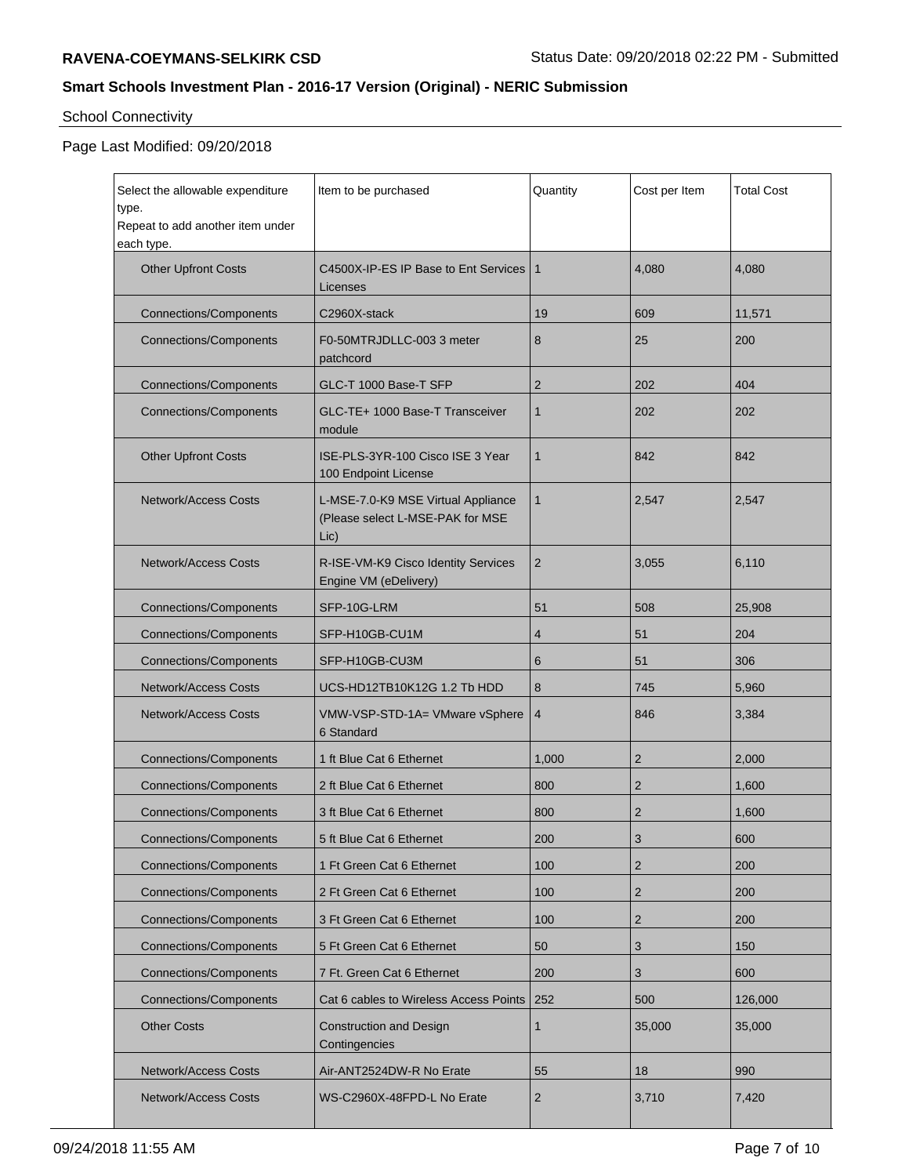## School Connectivity

## Page Last Modified: 09/20/2018

| Select the allowable expenditure<br>type.                                   | Item to be purchased                                                           | Quantity       | Cost per Item  | <b>Total Cost</b> |
|-----------------------------------------------------------------------------|--------------------------------------------------------------------------------|----------------|----------------|-------------------|
| Repeat to add another item under<br>each type.                              |                                                                                |                |                |                   |
| <b>Other Upfront Costs</b>                                                  | C4500X-IP-ES IP Base to Ent Services<br>Licenses                               | $\mathbf{1}$   | 4.080          | 4,080             |
| <b>Connections/Components</b>                                               | C2960X-stack                                                                   | 19             | 609            | 11,571            |
| <b>Connections/Components</b>                                               | F0-50MTRJDLLC-003 3 meter<br>patchcord                                         | 8              | 25             | 200               |
| <b>Connections/Components</b>                                               | GLC-T 1000 Base-T SFP                                                          | $\overline{2}$ | 202            | 404               |
| <b>Connections/Components</b>                                               | GLC-TE+ 1000 Base-T Transceiver<br>module                                      | 1              | 202            | 202               |
| <b>Other Upfront Costs</b>                                                  | ISE-PLS-3YR-100 Cisco ISE 3 Year<br>100 Endpoint License                       | $\mathbf{1}$   | 842            | 842               |
| <b>Network/Access Costs</b>                                                 | L-MSE-7.0-K9 MSE Virtual Appliance<br>(Please select L-MSE-PAK for MSE<br>Lic) | $\mathbf{1}$   | 2,547          | 2,547             |
| <b>Network/Access Costs</b>                                                 | $\overline{2}$<br>R-ISE-VM-K9 Cisco Identity Services<br>Engine VM (eDelivery) |                | 3,055          | 6,110             |
| <b>Connections/Components</b>                                               | SFP-10G-LRM                                                                    | 51             | 508            | 25,908            |
| <b>Connections/Components</b>                                               | SFP-H10GB-CU1M                                                                 | 4              | 51             | 204               |
| <b>Connections/Components</b>                                               | SFP-H10GB-CU3M                                                                 | 6              | 51             | 306               |
| <b>Network/Access Costs</b>                                                 | UCS-HD12TB10K12G 1.2 Tb HDD                                                    | 8              | 745            | 5,960             |
| <b>Network/Access Costs</b><br>VMW-VSP-STD-1A= VMware vSphere<br>6 Standard |                                                                                | $\overline{4}$ | 846            | 3,384             |
| <b>Connections/Components</b>                                               | 1 ft Blue Cat 6 Ethernet                                                       | 1,000          | $\overline{2}$ | 2,000             |
| <b>Connections/Components</b>                                               | 2 ft Blue Cat 6 Ethernet                                                       | 800            | $\overline{2}$ | 1,600             |
| Connections/Components                                                      | 3 ft Blue Cat 6 Ethernet                                                       | 800            | 2              | 1,600             |
| <b>Connections/Components</b>                                               | 5 ft Blue Cat 6 Ethernet                                                       | 200            | 3              | 600               |
| <b>Connections/Components</b>                                               | 1 Ft Green Cat 6 Ethernet                                                      | 100            | $\overline{2}$ | 200               |
| <b>Connections/Components</b>                                               | 2 Ft Green Cat 6 Ethernet                                                      | 100            | $\overline{2}$ | 200               |
| Connections/Components                                                      | 3 Ft Green Cat 6 Ethernet                                                      | 100            | $\overline{2}$ | 200               |
| <b>Connections/Components</b>                                               | 5 Ft Green Cat 6 Ethernet                                                      | 50             | 3              | 150               |
| Connections/Components                                                      | 7 Ft. Green Cat 6 Ethernet                                                     | 200            | 3              | 600               |
| <b>Connections/Components</b>                                               | Cat 6 cables to Wireless Access Points                                         | 252            | 500            | 126,000           |
| <b>Other Costs</b>                                                          | <b>Construction and Design</b><br>Contingencies                                |                | 35,000         | 35,000            |
| <b>Network/Access Costs</b>                                                 | Air-ANT2524DW-R No Erate                                                       | 55             | 18             | 990               |
| <b>Network/Access Costs</b>                                                 | WS-C2960X-48FPD-L No Erate<br>2                                                |                | 3,710          | 7,420             |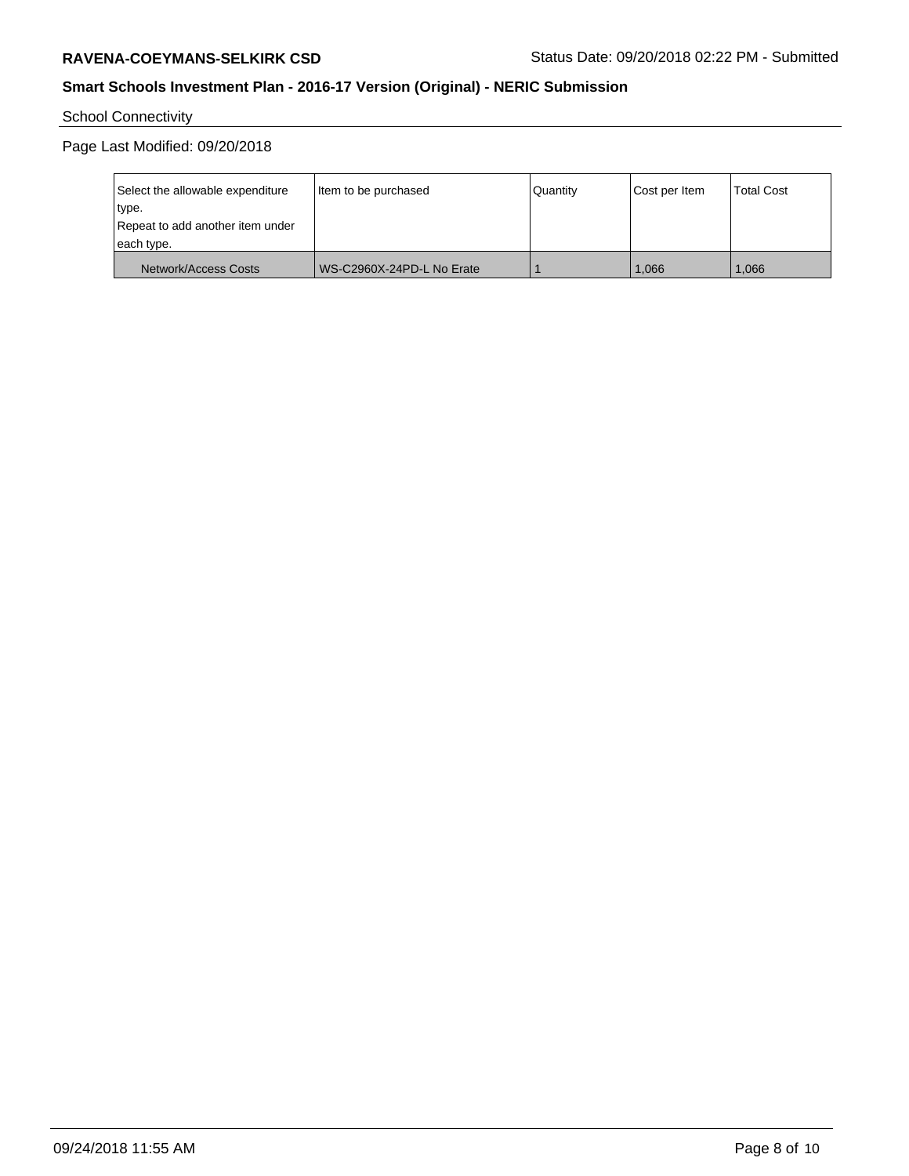School Connectivity

Page Last Modified: 09/20/2018

| Select the allowable expenditure | Item to be purchased      | Quantity | Cost per Item | <b>Total Cost</b> |
|----------------------------------|---------------------------|----------|---------------|-------------------|
| 'type.                           |                           |          |               |                   |
| Repeat to add another item under |                           |          |               |                   |
| each type.                       |                           |          |               |                   |
| Network/Access Costs             | WS-C2960X-24PD-L No Erate |          | 1.066         | 1,066             |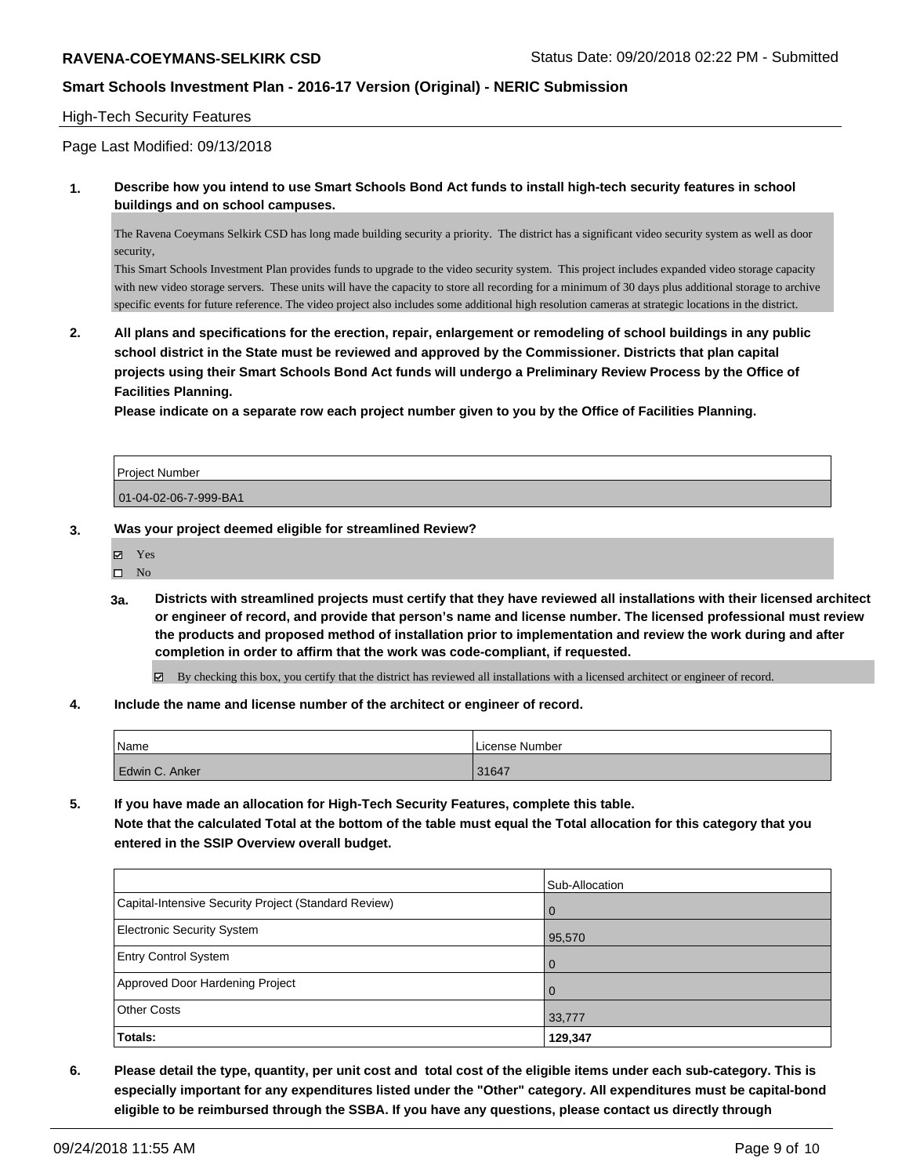## High-Tech Security Features

Page Last Modified: 09/13/2018

**1. Describe how you intend to use Smart Schools Bond Act funds to install high-tech security features in school buildings and on school campuses.**

The Ravena Coeymans Selkirk CSD has long made building security a priority. The district has a significant video security system as well as door security,

This Smart Schools Investment Plan provides funds to upgrade to the video security system. This project includes expanded video storage capacity with new video storage servers. These units will have the capacity to store all recording for a minimum of 30 days plus additional storage to archive specific events for future reference. The video project also includes some additional high resolution cameras at strategic locations in the district.

**2. All plans and specifications for the erection, repair, enlargement or remodeling of school buildings in any public school district in the State must be reviewed and approved by the Commissioner. Districts that plan capital projects using their Smart Schools Bond Act funds will undergo a Preliminary Review Process by the Office of Facilities Planning.** 

**Please indicate on a separate row each project number given to you by the Office of Facilities Planning.**

| Project Number        |  |
|-----------------------|--|
|                       |  |
| 01-04-02-06-7-999-BA1 |  |
|                       |  |

## **3. Was your project deemed eligible for streamlined Review?**

| 罓 | Yes |
|---|-----|
| П | Nο  |

**3a. Districts with streamlined projects must certify that they have reviewed all installations with their licensed architect or engineer of record, and provide that person's name and license number. The licensed professional must review the products and proposed method of installation prior to implementation and review the work during and after completion in order to affirm that the work was code-compliant, if requested.**

By checking this box, you certify that the district has reviewed all installations with a licensed architect or engineer of record.

**4. Include the name and license number of the architect or engineer of record.**

| Name           | l License Number |
|----------------|------------------|
| Edwin C. Anker | 31647            |

**5. If you have made an allocation for High-Tech Security Features, complete this table.**

**Note that the calculated Total at the bottom of the table must equal the Total allocation for this category that you entered in the SSIP Overview overall budget.**

|                                                      | Sub-Allocation |
|------------------------------------------------------|----------------|
| Capital-Intensive Security Project (Standard Review) | $\Omega$       |
| <b>Electronic Security System</b>                    | 95,570         |
| <b>Entry Control System</b>                          | $\overline{0}$ |
| Approved Door Hardening Project                      | $\Omega$       |
| <b>Other Costs</b>                                   | 33,777         |
| Totals:                                              | 129,347        |

**6. Please detail the type, quantity, per unit cost and total cost of the eligible items under each sub-category. This is especially important for any expenditures listed under the "Other" category. All expenditures must be capital-bond eligible to be reimbursed through the SSBA. If you have any questions, please contact us directly through**